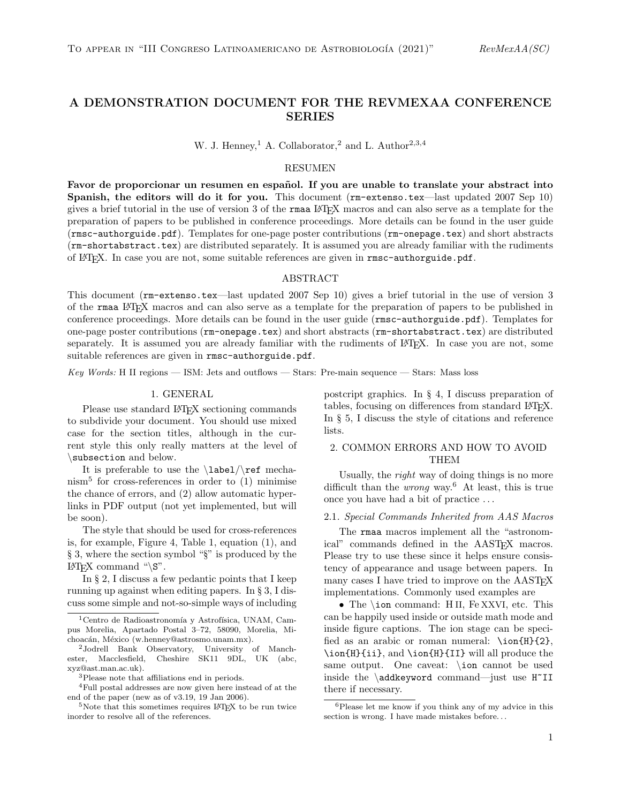# A DEMONSTRATION DOCUMENT FOR THE REVMEXAA CONFERENCE SERIES

W. J. Henney,<sup>1</sup> A. Collaborator,<sup>2</sup> and L. Author<sup>2,3,4</sup>

### RESUMEN

Favor de proporcionar un resumen en español. If you are unable to translate your abstract into Spanish, the editors will do it for you. This document (rm-extenso.tex—last updated 2007 Sep 10) gives a brief tutorial in the use of version 3 of the rmaa LATEX macros and can also serve as a template for the preparation of papers to be published in conference proceedings. More details can be found in the user guide (rmsc-authorguide.pdf). Templates for one-page poster contributions (rm-onepage.tex) and short abstracts (rm-shortabstract.tex) are distributed separately. It is assumed you are already familiar with the rudiments of LATEX. In case you are not, some suitable references are given in rmsc-authorguide.pdf.

# ABSTRACT

This document (rm-extenso.tex—last updated 2007 Sep 10) gives a brief tutorial in the use of version 3 of the rmaa LATEX macros and can also serve as a template for the preparation of papers to be published in conference proceedings. More details can be found in the user guide (rmsc-authorguide.pdf). Templates for one-page poster contributions (rm-onepage.tex) and short abstracts (rm-shortabstract.tex) are distributed separately. It is assumed you are already familiar with the rudiments of LAT<sub>EX</sub>. In case you are not, some suitable references are given in rmsc-authorguide.pdf.

Key Words: H II regions — ISM: Jets and outflows — Stars: Pre-main sequence — Stars: Mass loss

## 1. GENERAL

Please use standard LAT<sub>EX</sub> sectioning commands to subdivide your document. You should use mixed case for the section titles, although in the current style this only really matters at the level of \subsection and below.

It is preferable to use the  $\label{red}$   $\leftarrow$  The  $\leftarrow$ nism<sup>5</sup> for cross-references in order to (1) minimise the chance of errors, and (2) allow automatic hyperlinks in PDF output (not yet implemented, but will be soon).

The style that should be used for cross-references is, for example, Figure 4, Table 1, equation (1), and § 3, where the section symbol "§" is produced by the LAT<sub>EX</sub> command " $\mathcal{S}$ ".

In § 2, I discuss a few pedantic points that I keep running up against when editing papers. In § 3, I discuss some simple and not-so-simple ways of including postcript graphics. In § 4, I discuss preparation of tables, focusing on differences from standard LAT<sub>E</sub>X. In § 5, I discuss the style of citations and reference lists.

# 2. COMMON ERRORS AND HOW TO AVOID THEM

Usually, the right way of doing things is no more difficult than the *wrong* way.<sup>6</sup> At least, this is true once you have had a bit of practice . . .

#### 2.1. Special Commands Inherited from AAS Macros

The rmaa macros implement all the "astronomical" commands defined in the AAST<sub>EX</sub> macros. Please try to use these since it helps ensure consistency of appearance and usage between papers. In many cases I have tried to improve on the AAST<sub>F</sub>X implementations. Commonly used examples are

• The \ion command: HII, Fe XXVI, etc. This can be happily used inside or outside math mode and inside figure captions. The ion stage can be specified as an arabic or roman numeral: \ion{H}{2}, \ion{H}{ii}, and \ion{H}{II} will all produce the same output. One caveat: \ion cannot be used inside the \addkeyword command—just use H<sup>~</sup>II there if necessary.

 $1$ Centro de Radioastronomía y Astrofísica, UNAM, Campus Morelia, Apartado Postal 3–72, 58090, Morelia, Michoacán, México (w.henney@astrosmo.unam.mx).

<sup>2</sup>Jodrell Bank Observatory, University of Manchester, Macclesfield, Cheshire SK11 9DL, UK (abc, xyz@ast.man.ac.uk).

<sup>3</sup>Please note that affiliations end in periods.

<sup>4</sup>Full postal addresses are now given here instead of at the end of the paper (new as of v3.19, 19 Jan 2006).

<sup>&</sup>lt;sup>5</sup>Note that this sometimes requires LAT<sub>E</sub>X to be run twice inorder to resolve all of the references.

<sup>6</sup>Please let me know if you think any of my advice in this section is wrong. I have made mistakes before. . .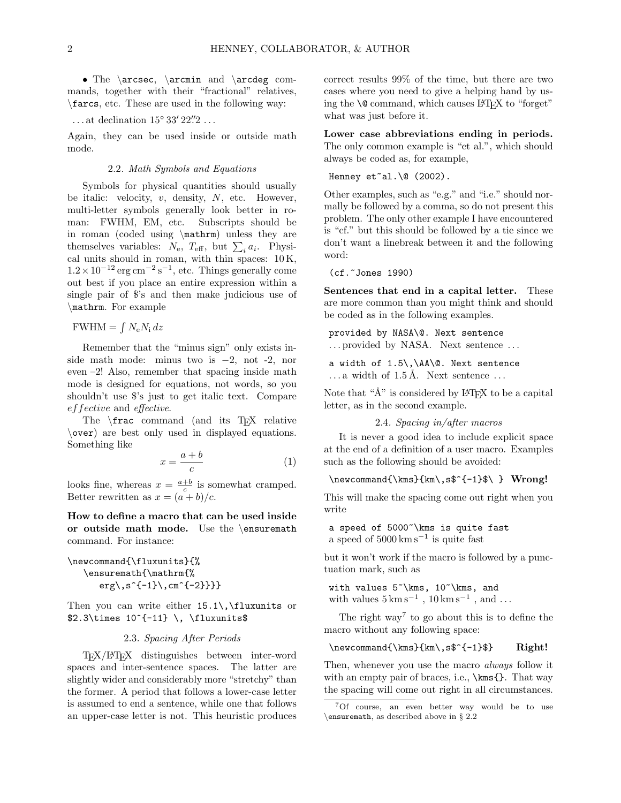• The \arcsec, \arcmin and \arcdeg commands, together with their "fractional" relatives, \farcs, etc. These are used in the following way:

## ...at declination  $15° 33' 22''2 \ldots$

Again, they can be used inside or outside math mode.

#### 2.2. Math Symbols and Equations

Symbols for physical quantities should usually be italic: velocity,  $v$ , density,  $N$ , etc. However, multi-letter symbols generally look better in roman: FWHM, EM, etc. Subscripts should be in roman (coded using \mathrm) unless they are themselves variables:  $N_{\rm e}$ ,  $T_{\rm eff}$ , but  $\sum_i a_i$ . Physical units should in roman, with thin spaces: 10 K,  $1.2 \times 10^{-12}$  erg cm<sup>-2</sup> s<sup>-1</sup>, etc. Things generally come out best if you place an entire expression within a single pair of \$'s and then make judicious use of \mathrm. For example

 $FWHM = \int N_e N_i dz$ 

Remember that the "minus sign" only exists inside math mode: minus two is  $-2$ , not  $-2$ , nor even –2! Also, remember that spacing inside math mode is designed for equations, not words, so you shouldn't use \$'s just to get italic text. Compare effective and effective.

The  $\frac{1}{x}$  command (and its T<sub>EX</sub> relative \over) are best only used in displayed equations. Something like

$$
x = \frac{a+b}{c} \tag{1}
$$

looks fine, whereas  $x = \frac{a+b}{c}$  is somewhat cramped. Better rewritten as  $x = (a + b)/c$ .

How to define a macro that can be used inside or outside math mode. Use the \ensuremath command. For instance:

\newcommand{\fluxunits}{% \ensuremath{\mathrm{%  $\{erg\}, s^{(-1)}\,$ , cm<sup>^{-2}}}}</sup>

Then you can write either  $15.1\backslash$ , fluxunits or  $$2.3\times 10^{--11} \, \theta$ 

## 2.3. Spacing After Periods

TEX/LATEX distinguishes between inter-word spaces and inter-sentence spaces. The latter are slightly wider and considerably more "stretchy" than the former. A period that follows a lower-case letter is assumed to end a sentence, while one that follows an upper-case letter is not. This heuristic produces correct results 99% of the time, but there are two cases where you need to give a helping hand by using the  $\Diamond$  command, which causes LAT<sub>EX</sub> to "forget" what was just before it.

Lower case abbreviations ending in periods. The only common example is "et al.", which should always be coded as, for example,

Henney  $et$ al. $\0$  (2002).

Other examples, such as "e.g." and "i.e." should normally be followed by a comma, so do not present this problem. The only other example I have encountered is "cf." but this should be followed by a tie since we don't want a linebreak between it and the following word:

(cf.~Jones 1990)

Sentences that end in a capital letter. These are more common than you might think and should be coded as in the following examples.

provided by NASA\@. Next sentence ... provided by NASA. Next sentence ...

a width of 1.5\,\AA\@. Next sentence  $\ldots$  a width of 1.5 Å. Next sentence  $\ldots$ 

Note that " $\AA$ " is considered by  $\text{LATEX}$  to be a capital letter, as in the second example.

2.4. Spacing in/after macros

It is never a good idea to include explicit space at the end of a definition of a user macro. Examples such as the following should be avoided:

\newcommand{\kms}{km\,s\$^{-1}\$\ } Wrong!

This will make the spacing come out right when you write

a speed of 5000~\kms is quite fast a speed of 5000 km s<sup>−</sup><sup>1</sup> is quite fast

but it won't work if the macro is followed by a punctuation mark, such as

with values 5~\kms, 10~\kms, and with values  $5 \,\mathrm{km}\,\mathrm{s}^{-1}$ ,  $10 \,\mathrm{km}\,\mathrm{s}^{-1}$ , and ...

The right  $way<sup>7</sup>$  to go about this is to define the macro without any following space:

\newcommand{\kms}{km\,s\$^{-1}\$} Right!

Then, whenever you use the macro *always* follow it with an empty pair of braces, i.e.,  $\mathrm{}$ . That way the spacing will come out right in all circumstances.

<sup>7</sup>Of course, an even better way would be to use \ensuremath, as described above in § 2.2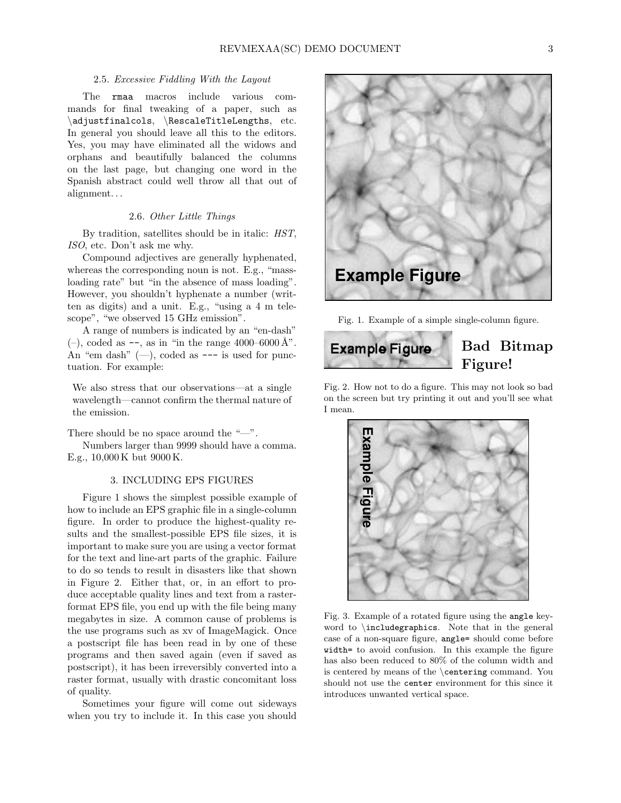### 2.5. Excessive Fiddling With the Layout

The rmaa macros include various commands for final tweaking of a paper, such as \adjustfinalcols, \RescaleTitleLengths, etc. In general you should leave all this to the editors. Yes, you may have eliminated all the widows and orphans and beautifully balanced the columns on the last page, but changing one word in the Spanish abstract could well throw all that out of alignment. . .

#### 2.6. Other Little Things

By tradition, satellites should be in italic: HST, ISO, etc. Don't ask me why.

Compound adjectives are generally hyphenated, whereas the corresponding noun is not. E.g., "massloading rate" but "in the absence of mass loading". However, you shouldn't hyphenate a number (written as digits) and a unit. E.g., "using a 4 m telescope", "we observed 15 GHz emission".

A range of numbers is indicated by an "en-dash"  $(-)$ , coded as  $\text{-}$ , as in "in the range 4000–6000 Å". An "em dash"  $(-)$ , coded as  $---$  is used for punctuation. For example:

We also stress that our observations—at a single wavelength—cannot confirm the thermal nature of the emission.

There should be no space around the "—".

Numbers larger than 9999 should have a comma. E.g., 10,000 K but 9000 K.

## 3. INCLUDING EPS FIGURES

Figure 1 shows the simplest possible example of how to include an EPS graphic file in a single-column figure. In order to produce the highest-quality results and the smallest-possible EPS file sizes, it is important to make sure you are using a vector format for the text and line-art parts of the graphic. Failure to do so tends to result in disasters like that shown in Figure 2. Either that, or, in an effort to produce acceptable quality lines and text from a rasterformat EPS file, you end up with the file being many megabytes in size. A common cause of problems is the use programs such as xv of ImageMagick. Once a postscript file has been read in by one of these programs and then saved again (even if saved as postscript), it has been irreversibly converted into a raster format, usually with drastic concomitant loss of quality.

Sometimes your figure will come out sideways when you try to include it. In this case you should



Fig. 1. Example of a simple single-column figure.



Fig. 2. How not to do a figure. This may not look so bad on the screen but try printing it out and you'll see what I mean.



Fig. 3. Example of a rotated figure using the angle keyword to \includegraphics. Note that in the general case of a non-square figure, angle= should come before width= to avoid confusion. In this example the figure has also been reduced to 80% of the column width and is centered by means of the \centering command. You should not use the center environment for this since it introduces unwanted vertical space.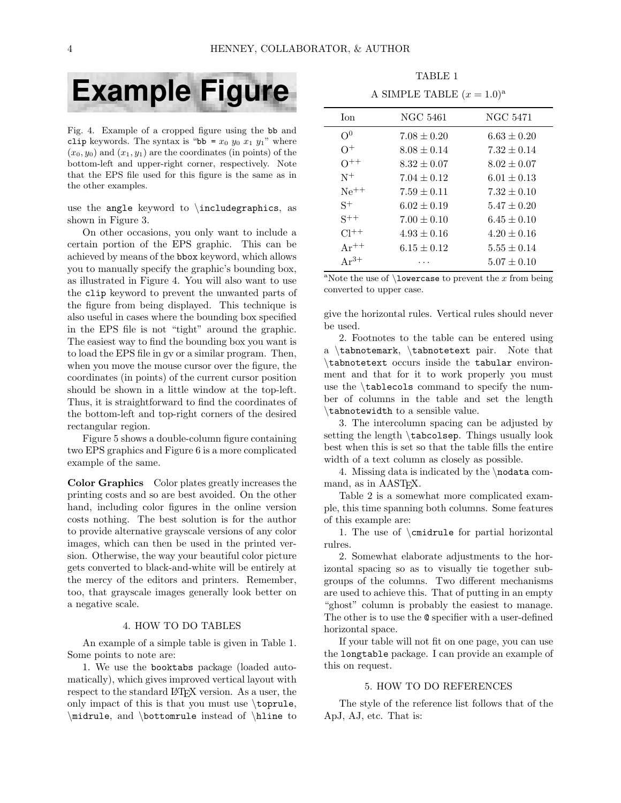

Fig. 4. Example of a cropped figure using the bb and clip keywords. The syntax is "bb =  $x_0$   $y_0$   $x_1$   $y_1$ " where  $(x_0, y_0)$  and  $(x_1, y_1)$  are the coordinates (in points) of the bottom-left and upper-right corner, respectively. Note that the EPS file used for this figure is the same as in the other examples.

use the angle keyword to  $\infty$ , as shown in Figure 3.

On other occasions, you only want to include a certain portion of the EPS graphic. This can be achieved by means of the bbox keyword, which allows you to manually specify the graphic's bounding box, as illustrated in Figure 4. You will also want to use the clip keyword to prevent the unwanted parts of the figure from being displayed. This technique is also useful in cases where the bounding box specified in the EPS file is not "tight" around the graphic. The easiest way to find the bounding box you want is to load the EPS file in gv or a similar program. Then, when you move the mouse cursor over the figure, the coordinates (in points) of the current cursor position should be shown in a little window at the top-left. Thus, it is straightforward to find the coordinates of the bottom-left and top-right corners of the desired rectangular region.

Figure 5 shows a double-column figure containing two EPS graphics and Figure 6 is a more complicated example of the same.

Color Graphics Color plates greatly increases the printing costs and so are best avoided. On the other hand, including color figures in the online version costs nothing. The best solution is for the author to provide alternative grayscale versions of any color images, which can then be used in the printed version. Otherwise, the way your beautiful color picture gets converted to black-and-white will be entirely at the mercy of the editors and printers. Remember, too, that grayscale images generally look better on a negative scale.

#### 4. HOW TO DO TABLES

An example of a simple table is given in Table 1. Some points to note are:

1. We use the booktabs package (loaded automatically), which gives improved vertical layout with respect to the standard LATEX version. As a user, the only impact of this is that you must use \toprule, \midrule, and \bottomrule instead of \hline to

TABLE 1 A SIMPLE TABLE  $(x = 1.0)^a$ 

| <b>T</b> on | NGC 5461        | NGC 5471        |
|-------------|-----------------|-----------------|
| $\Omega^0$  | $7.08 \pm 0.20$ | $6.63 \pm 0.20$ |
| $\Omega^+$  | $8.08 \pm 0.14$ | $7.32 \pm 0.14$ |
| $O^{++}$    | $8.32 + 0.07$   | $8.02 \pm 0.07$ |
| $N^+$       | $7.04 + 0.12$   | $6.01 \pm 0.13$ |
| $Ne^{++}$   | $7.59 \pm 0.11$ | $7.32 \pm 0.10$ |
| $S^+$       | $6.02 \pm 0.19$ | $5.47 \pm 0.20$ |
| $S^{++}$    | $7.00 \pm 0.10$ | $6.45 \pm 0.10$ |
| $Cl^{++}$   | $4.93 \pm 0.16$ | $4.20 \pm 0.16$ |
| $Ar^{++}$   | $6.15 + 0.12$   | $5.55 \pm 0.14$ |
| $Ar^{3+}$   |                 | $5.07 + 0.10$   |

<sup>a</sup>Note the use of  $\lambda$  owercase to prevent the x from being converted to upper case.

give the horizontal rules. Vertical rules should never be used.

2. Footnotes to the table can be entered using a \tabnotemark, \tabnotetext pair. Note that \tabnotetext occurs inside the tabular environment and that for it to work properly you must use the \tablecols command to specify the number of columns in the table and set the length \tabnotewidth to a sensible value.

3. The intercolumn spacing can be adjusted by setting the length \tabcolsep. Things usually look best when this is set so that the table fills the entire width of a text column as closely as possible.

4. Missing data is indicated by the \nodata command, as in AAST<sub>F</sub>X.

Table 2 is a somewhat more complicated example, this time spanning both columns. Some features of this example are:

1. The use of \cmidrule for partial horizontal rulres.

2. Somewhat elaborate adjustments to the horizontal spacing so as to visually tie together subgroups of the columns. Two different mechanisms are used to achieve this. That of putting in an empty "ghost" column is probably the easiest to manage. The other is to use the @ specifier with a user-defined horizontal space.

If your table will not fit on one page, you can use the longtable package. I can provide an example of this on request.

## 5. HOW TO DO REFERENCES

The style of the reference list follows that of the ApJ, AJ, etc. That is: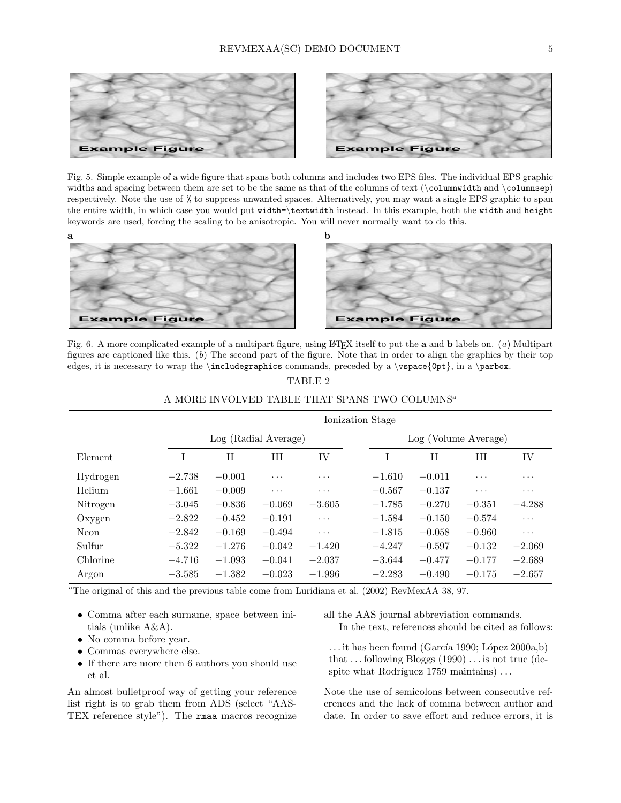

Fig. 5. Simple example of a wide figure that spans both columns and includes two EPS files. The individual EPS graphic widths and spacing between them are set to be the same as that of the columns of text (\columnwidth and \columnsep) respectively. Note the use of % to suppress unwanted spaces. Alternatively, you may want a single EPS graphic to span the entire width, in which case you would put width=\textwidth instead. In this example, both the width and height keywords are used, forcing the scaling to be anisotropic. You will never normally want to do this.



Fig. 6. A more complicated example of a multipart figure, using LTFX itself to put the **a** and **b** labels on. (a) Multipart figures are captioned like this. (b) The second part of the figure. Note that in order to align the graphics by their top edges, it is necessary to wrap the \includegraphics commands, preceded by a \vspace{0pt}, in a \parbox.

|          | Ionization Stage |                      |          |          |  |                      |             |          |                         |
|----------|------------------|----------------------|----------|----------|--|----------------------|-------------|----------|-------------------------|
|          |                  | Log (Radial Average) |          |          |  | Log (Volume Average) |             |          |                         |
| Element  |                  | $_{\rm II}$          | Ш        | IV       |  | T                    | $_{\rm II}$ | Ш        | IV                      |
| Hydrogen | $-2.738$         | $-0.001$             | $\cdots$ | $\cdots$ |  | $-1.610$             | $-0.011$    | $\cdots$ | $\cdot$ $\cdot$ $\cdot$ |
| Helium   | $-1.661$         | $-0.009$             | $\cdots$ | $\cdots$ |  | $-0.567$             | $-0.137$    | $\cdots$ | $\cdots$                |
| Nitrogen | $-3.045$         | $-0.836$             | $-0.069$ | $-3.605$ |  | $-1.785$             | $-0.270$    | $-0.351$ | $-4.288$                |
| Oxygen   | $-2.822$         | $-0.452$             | $-0.191$ | $\cdots$ |  | $-1.584$             | $-0.150$    | $-0.574$ | $\cdots$                |
| Neon     | $-2.842$         | $-0.169$             | $-0.494$ | $\cdots$ |  | $-1.815$             | $-0.058$    | $-0.960$ | $\cdots$                |
| Sulfur   | $-5.322$         | $-1.276$             | $-0.042$ | $-1.420$ |  | $-4.247$             | $-0.597$    | $-0.132$ | $-2.069$                |
| Chlorine | $-4.716$         | $-1.093$             | $-0.041$ | $-2.037$ |  | $-3.644$             | $-0.477$    | $-0.177$ | $-2.689$                |
| Argon    | $-3.585$         | $-1.382$             | $-0.023$ | $-1.996$ |  | $-2.283$             | $-0.490$    | $-0.175$ | $-2.657$                |

# TABLE 2 A MORE INVOLVED TABLE THAT SPANS TWO COLUMNS<sup>a</sup>

<sup>a</sup>The original of this and the previous table come from Luridiana et al. (2002) RevMexAA 38, 97.

- Comma after each surname, space between initials (unlike A&A).
- No comma before year.
- Commas everywhere else.
- If there are more then 6 authors you should use et al.

An almost bulletproof way of getting your reference list right is to grab them from ADS (select "AAS-TEX reference style"). The rmaa macros recognize

- all the AAS journal abbreviation commands. In the text, references should be cited as follows:
- $\dots$  it has been found (García 1990; López 2000a,b) that  $\dots$  following Bloggs (1990)  $\dots$  is not true (despite what Rodríguez  $1759$  maintains)  $\dots$

Note the use of semicolons between consecutive references and the lack of comma between author and date. In order to save effort and reduce errors, it is